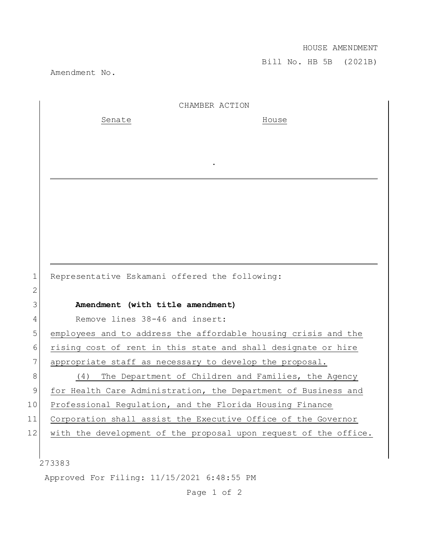## HOUSE AMENDMENT

Bill No. HB 5B (2021B)

Amendment No.

|    | CHAMBER ACTION                                                   |
|----|------------------------------------------------------------------|
|    | Senate<br>House                                                  |
|    |                                                                  |
|    |                                                                  |
|    |                                                                  |
|    |                                                                  |
|    |                                                                  |
|    |                                                                  |
|    |                                                                  |
|    |                                                                  |
|    |                                                                  |
| 1  | Representative Eskamani offered the following:                   |
| 2  |                                                                  |
| 3  | Amendment (with title amendment)                                 |
| 4  | Remove lines 38-46 and insert:                                   |
| 5  | employees and to address the affordable housing crisis and the   |
| 6  | rising cost of rent in this state and shall designate or hire    |
| 7  | appropriate staff as necessary to develop the proposal.          |
| 8  | The Department of Children and Families, the Agency<br>(4)       |
| 9  | for Health Care Administration, the Department of Business and   |
| 10 | Professional Requlation, and the Florida Housing Finance         |
| 11 | Corporation shall assist the Executive Office of the Governor    |
| 12 | with the development of the proposal upon request of the office. |
|    |                                                                  |
|    | 273383                                                           |
|    | Approved For Filing: 11/15/2021 6:48:55 PM                       |

Page 1 of 2